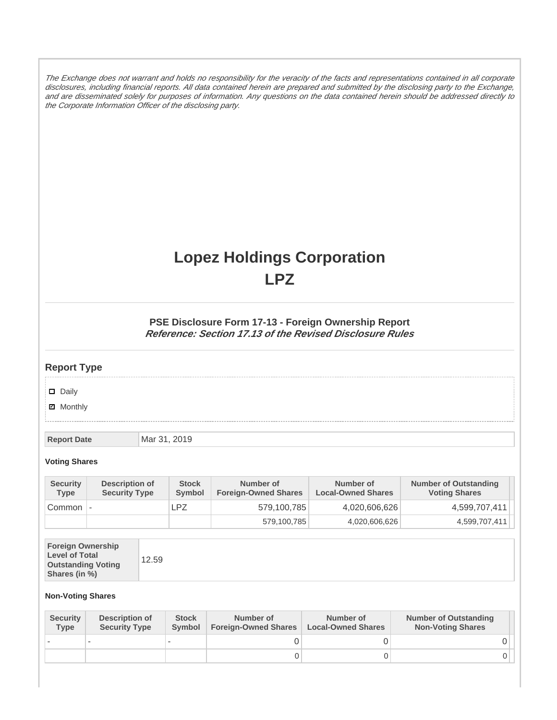The Exchange does not warrant and holds no responsibility for the veracity of the facts and representations contained in all corporate disclosures, including financial reports. All data contained herein are prepared and submitted by the disclosing party to the Exchange, and are disseminated solely for purposes of information. Any questions on the data contained herein should be addressed directly to the Corporate Information Officer of the disclosing party.

# **Lopez Holdings Corporation LPZ**

### **PSE Disclosure Form 17-13 - Foreign Ownership Report Reference: Section 17.13 of the Revised Disclosure Rules**

## **Report Type**

Daily

**Ø** Monthly

**Report Date Mar 31, 2019** 

#### **Voting Shares**

| <b>Security</b><br><b>Type</b> | Description of<br><b>Security Type</b> | <b>Stock</b><br>Symbol | Number of<br><b>Foreign-Owned Shares</b> | Number of<br><b>Local-Owned Shares</b> | <b>Number of Outstanding</b><br><b>Voting Shares</b> |
|--------------------------------|----------------------------------------|------------------------|------------------------------------------|----------------------------------------|------------------------------------------------------|
| Common                         | $\overline{\phantom{a}}$               | LPZ                    | 579,100,785                              | 4,020,606,626                          | 4,599,707,411                                        |
|                                |                                        |                        | 579,100,785                              | 4,020,606,626                          | 4,599,707,411                                        |

|--|--|

#### **Non-Voting Shares**

| <b>Security</b><br><b>Type</b> | <b>Description of</b><br><b>Security Type</b> | <b>Stock</b><br>Symbol | Number of<br><b>Foreign-Owned Shares</b> | Number of<br><b>Local-Owned Shares</b> | <b>Number of Outstanding</b><br><b>Non-Voting Shares</b> |
|--------------------------------|-----------------------------------------------|------------------------|------------------------------------------|----------------------------------------|----------------------------------------------------------|
|                                |                                               |                        |                                          |                                        |                                                          |
|                                |                                               |                        |                                          |                                        |                                                          |